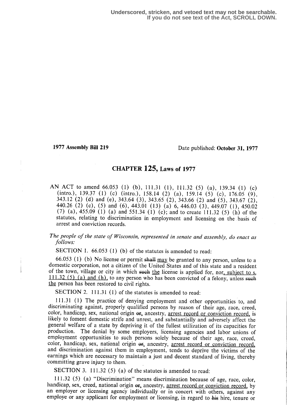1977 Assembly Bill 219 Date published: October 31, 1977

# CHAPTER 125, Laws of 1977

AN ACT to amend 66.053 (1) (b), 111.31 (1), 111.32 (5) (a), 139.34 (1) (c) (intro.), 139.37 (1) (c) (intro.), 158.14 (2) (a), 159.14 (5) (c), 176.05 (9), 343.12 (2) (d) and (e), 343.64 (3), 343.65 (2), 343.66 (2) and (5), 343.67 (2), 440.26 (2) (c), (5) and (6), 443.01 (13) (a) 6, 446.03 (3), 449.07 (1), 450.02 (7) (a),  $455.09$  (1) (a) and  $551.34$  (1) (c); and to create 111.32 (5) (h) of the statutes, relating to discrimination in employment and licensing on the basis of arrest and conviction records.

### The people of the state of Wisconsin, represented in senate and assembly, do enact as follows.

SECTION 1.  $66.053$  (1) (b) of the statutes is amended to read:

66.053 (1) (b) No license or permit shall may be granted to any person, unless to a domestic corporation, not a citizen of the United States and of this state and a resident of the town, village or city in which such the license is applied for, nor, subject to s.  $111.32$  (5) (a) and (h), to any person who has been convicted of a felony, unless such the person has been restored to civil rights.

SECTION 2. 111.31 (1) of the statutes is amended to read:

111 .31 (1) The practice of denying employment and other opportunities to, and discriminating against, properly qualified persons by reason of their age, race, creed, color, handicap, sex, national origin  $\sigma_{f}$ , ancestry, arrest record or conviction record, is likely to foment domestic strife and unrest, and substantially and adversely affect the general welfare of a state by depriving it of the fullest utilization of its capacities for production. The denial by some employers, licensing agencies and labor unions of employment opportunities to such persons solely because of their age, race, creed, color, handicap, sex, national origin  $\sigma$ <sub>s</sub> ancestry, arrest record or conviction record, and discrimination against them in employment, tends to deprive the victims of the earnings which are necessary to maintain a just and decent standard of living, thereby committing grave injury to them.

SECTION 3. 111.32 (5) (a) of the statutes is amended to read:

111 .32 (5) (a) "Discrimination" means discrimination because of age, race, color, handicap, sex, creed, national origin  $\theta$ <sub>r</sub>, ancestry, arrest record or conviction record, by an employer or licensing agency individually or in concert with others, against any employe or any applicant for employment or licensing, in regard to his hire, tenure or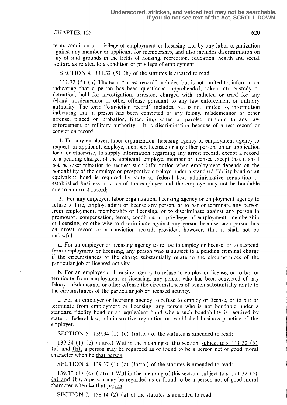# CHAPTER 125 620

term, condition or privilege of employment or licensing and by any labor organization against any member or applicant for membership, and also includes discrimination on any of said grounds in the fields of housing, recreation, education, health and social welfare as related to a condition or privilege of employment.

SECTION 4. 111.32 (5) (h) of the statutes is created to read:

111 .32 (5) (h) The term "arrest record" includes, but is not limited to, information indicating that a person has been questioned, apprehended, taken into custody or detention, held for investigation, arrested, charged with, indicted or tried for any felony, misdemeanor or other offense pursuant to any law enforcement or military authority. The term "conviction record" includes, but is not limited to, information indicating that a person has been convicted of any felony, misdemeanor or other offense, placed on probation, fined, imprisoned or paroled pursuant to any law enforcement or military authority. It is discrimination because of arrest record or conviction record:

<sup>1</sup> . For any employer, labor organization, licensing agency or employment agency to request an applicant, employe, member, licensee or any other person, on an application form or otherwise, to supply information regarding any arrest record, except a record of a pending charge, of the applicant, employe, member or licensee except that it shall not be discrimination to request such information when employment depends on the bondability of the employe or prospective employe under a standard fidelity bond or an equivalent bond is required by state or federal law, administrative regulation or established business practice of the employer and the employe may not be bondable due to an arrest record;

2. For any employer, labor organization, licensing agency or employment agency to refuse to hire, employ, admit or license any person, or to bar or terminate any person from employment, membership or licensing, or to discriminate against any person in promotion, compensation, terms, conditions or privileges of employment, membership or licensing, or otherwise to discriminate against any person because such person has an arrest record or a conviction record; provided, however, that it shall not be unlawful:

a. For an employer or licensing agency to refuse to employ or license, or to suspend from employment or licensing, any person who is subject to a pending criminal charge if the circumstances of the charge substantially relate to the circumstances of the particular job or licensed activity.

b. For an employer or licensing agency to refuse to employ or license, or to bar or terminate from employment or licensing, any person who has been convicted of any felony, misdemeanor or other offense the circumstances of which substantially relate to the circumstances of the particular job or licensed activity .

c. For an employer or licensing agency to refuse to employ or license, or to bar or terminate from employment or licensing, any person who is not bondable under a standard fidelity bond or an equivalent bond where such bondability is required by state or federal law, administrative regulation or established business practice of the employer.

SECTION 5. 139.34 (1) (c) (intro.) of the statutes is amended to read:

139.34 (1) (c) (intro.) Within the meaning of this section, subject to s.  $111.32$  (5) (a) and (h), a person may be regarded as or found to be a person not of good moral character when he that person:

SECTION 6. 139.37 (1) (c) (intro.) of the statutes is amended to read:

139.37 (1) (c) (intro.) Within the meaning of this section, subject to s. 111.32 (5) (a) and (h), a person may be regarded as or found to be a person not of good moral character when he that person:

SECTION 7. 158.14 (2) (a) of the statutes is amended to read: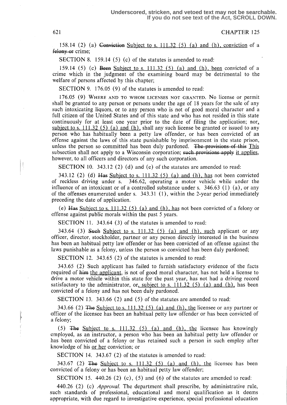#### 621 CHAPTER 125

158.14 (2) (a) Conviction Subject to s.  $111.32$  (5) (a) and (h), conviction of a felony or crime;

SECTION 8. 159.14  $(5)$  (c) of the statutes is amended to read:

159.14  $(5)$  (c) Been Subject to s. 111.32  $(5)$  (a) and  $(h)$ , been convicted of a crime which in the judgment of the examining board may be detrimental to the welfare of persons affected by this chapter;

SECTION 9. 176.05 (9) of the statutes is amended to read:

176.05 (9) WHERE AND TO WHOM LICENSES NOT GRANTED. No license or permit shall be granted to any person or persons under the age of 18 years for the sale of any such intoxicating liquors, or to any person who is not of good moral character and a full citizen of the United States and of this state and who has not resided in this state continuously for at least one year prior to the date of filing the application; nor, subject to s. 111.32 (5) (a) and (h), shall any such license be granted or issued to any person who has habitually been a petty law offender, or has been convicted of an offense against the laws of this state punishable by imprisonment in the state prison, unless the person so committed has been duly pardoned. The provisions of this This subsection shall not apply to a Wisconsin corporation; such provisions apply it applies, however, to all officers and directors of any such corporation.

SECTION 10. 343.12 (2) (d) and (e) of the statutes are amended to read:

343.12 (2) (d) Has Subject to s. 111.32 (5) (a) and (h), has not been convicted of reckless driving under s. 346.62, operating a motor vehicle while under the influence of an intoxicant or of a controlled substance under s.  $346.63$  (1) (a), or any of the offenses enumerated under s.  $343.31(1)$ , within the 2-year period immediately preceding the date of application.

(e)  $\text{Has Subject to } s$ . 111.32 (5) (a) and (h), has not been convicted of a felony or offense against public morals within the past 5 years.

SECTION 11. 343.64 (3) of the statutes is amended to read:

343.64 (3) Such Subject to s.  $111.32$  (5) (a) and (h), such applicant or any officer, director, stockholder, partner or any person directly interested in the business has been an habitual petty law offender or has been convicted of an offense against the laws punishable as a felony, unless the person so convicted has been duly pardoned;

SECTION 12. 343.65 (2) of the statutes is amended to read:

343.65 (2) Such applicant has failed to furnish satisfactory evidence of the facts required of him the applicant, is not of good moral character, has not held a license to drive a motor vehicle within this state for the past year, has not had a driving record satisfactory to the administrator, or, subject to s.  $111.32$  (5) (a) and (h), has been convicted of a felony and has not been duly pardoned.

SECTION 13. 343.66 (2) and (5) of the statutes are amended to read:

343.66 (2) The Subject to s. 111.32 (5) (a) and (h), the licensee or any partner or officer of the licensee has been an habitual petty law offender or has been convicted of a felony;

(5) The Subject to s. 111.32 (5) (a) and (h), the licensee has knowingly employed, as an instructor, a person who has been an habitual petty law offender or has been convicted of a felony or has retained such a person in such employ after knowledge of his or her conviction; or

SECTION 14. 343.67 (2) of the statutes is amended to read:

343.67 (2) The Subject to s.  $111.32$  (5) (a) and (h), the licensee has been convicted of a felony or has been an habitual petty law offender;

SECTION 15. 440.26 (2) (c),  $(5)$  and  $(6)$  of the statutes are amended to read:

440.26 (2) (c) *Approval*. The department shall prescribe, by administrative rule, such standards of professional, educational and moral qualification as it deems appropriate, with due regard to investigative experience, special professional education

ļ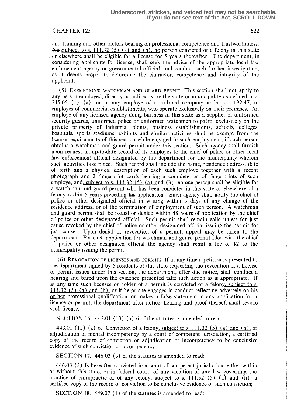## CHAPTER 125 622

and training and other factors bearing on professional competence and trustworthiness. No Subject to s. 111.32 (5) (a) and (h), no person convicted of a felony in this state or elsewhere shall be eligible for a license for 5 years thereafter . The department, in considering applicants for license, shall seek the advice of the appropriate local law enforcement agency or governmental official, and conduct such further investigation, as it deems proper to determine the character, competence and integrity of the applicant.

 $(5)$  EXEMPTIONS; WATCHMAN AND GUARD PERMIT. This section shall not apply to any person employed, directly or indirectly by the state or municipality as defined in s. 345.05 (1) (a), or to any employe of a railroad company under s. 192.47, or employes of commercial establishments, who operate exclusively on their premises. An employe of any licensed agency doing business in this state as a supplier of uniformed security guards, uniformed police or uniformed watchmen to patrol exclusively on the private property of industrial plants, business establishments, schools, colleges, hospitals, sports stadiums, exhibits and similar activities shall be exempt from the license requirements of this section while engaged in such employment, if such person obtains a watchman and guard permit under this section. Such agency shall furnish upon request an up-to-date record of its employes to the chief of police or other local law enforcement official designated by the department for the municipality wherein such activities take place. Such record shall include the name, residence address, date of birth and a physical description of each such employe together with a recent photograph and 2 fingerprint cards bearing a complete set of fingerprints of such employe, and, subject to s.  $111.32$  (5) (a) and (h), no one person shall be eligible for a watchman and guard permit who has been convicted in this state or elsewhere of a felony within 5 years preceding his application. Such agency shall notify the chief of police or other designated official in writing within 5 days of any change of the residence address, or of the termination of employment of such person. A watchman and guard permit shall be issued or denied within 48 hours of application by the chief of police or other designated official. Such permit shall remain valid unless for just cause revoked by the chief of police or other designated official issuing the permit for just cause. Upon denial or revocation of a permit, appeal may be taken to the department. For each application for watchman and guard permit filed with the chief of police or other designated official the agency shall remit a fee of \$2 to the municipality issuing the permit.

REVOCATION OF LICENSES AND PERMITS. If 3t any time a petition is presented to the department signed by 6 residents of this state requesting the revocation of a license or permit issued under this section, the department, after due notice, shall conduct a hearing and based upon the evidence presented take such action as is appropriate. If at any time such licensee or holder of a permit is convicted of a felony, subject to s.  $111.32$  (5) (a) and (h), or if he <u>or she</u> engages in conduct reflecting adversely on his or her professional qualification, or makes a false statement in any application for a license or permit, the department after notice, hearing and proof thereof, shall revoke such license.

SECTION 16. 443.01 (13) (a) 6 of the statutes is amended to read:

443.01 (13) (a) 6. Conviction of a felony, subject to s. 111.32 (5) (a) and (h), or adjudication of mental incompetency by a court of competent jurisdiction, a certified copy of the record of conviction or adjudication of incompetency to be conclusive evidence of such conviction or incompetency.

SECTION 17. 446.03 (3) of the statutes is amended to read:

446.03 (3) Is hereafter convicted in a court of competent jurisdiction, either within or without this state, or in federal court, of any violation of any law governing the practice of chiropractic or of any felony, subject to s.  $111.32$  (5) (a) and (h), a certified copy of the record of conviction to be conclusive evidence of such conviction;

SECTION 18. 449.07 (1) of the statutes is amended to read: